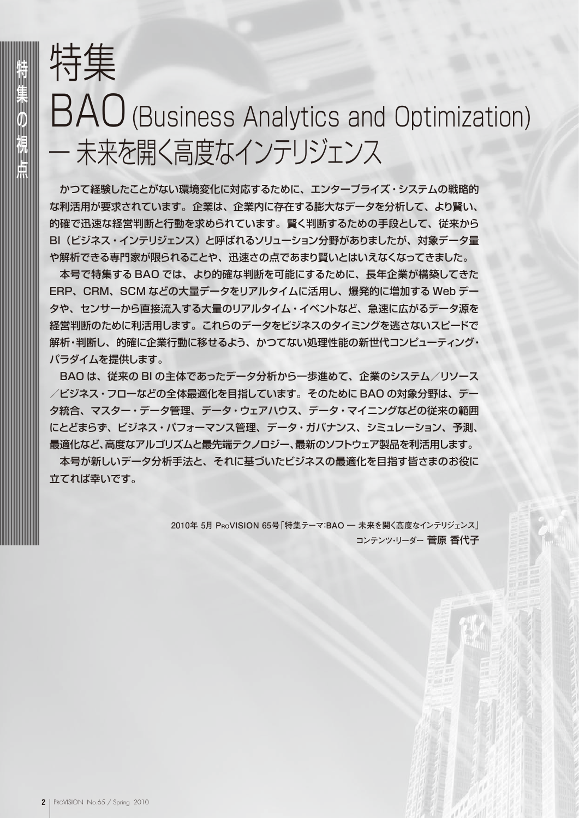## 特集 BAO(Business Analytics and Optimization) - 未来を開く高度なインテリジェンス

かつて経験したことがない環境変化に対応するために、エンタープライズ・システムの戦略的 な利活用が要求されています。企業は、企業内に存在する膨大なデータを分析して、より賢い、 的確で迅速な経営判断と行動を求められています。賢く判断するための手段として、従来から BI(ビジネス・インテリジェンス)と呼ばれるソリューション分野がありましたが、対象データ量 や解析できる専門家が限られることや、迅速さの点であまり賢いとはいえなくなってきました。

本号で特集する BAO では、より的確な判断を可能にするために、長年企業が構築してきた ERP、CRM、SCM などの大量データをリアルタイムに活用し、爆発的に増加する Web デー タや、センサーから直接流入する大量のリアルタイム・イベントなど、急速に広がるデータ源を 経営判断のために利活用します。これらのデータをビジネスのタイミングを逃さないスピードで 解析・判断し、的確に企業行動に移せるよう、かつてない処理性能の新世代コンピューティング・ パラダイムを提供します。

BAO は、従来の BI の主体であったデータ分析から一歩進めて、企業のシステム/リソース /ビジネス・フローなどの全体最適化を目指しています。そのために BAO の対象分野は、デー タ統合、マスター・データ管理、データ・ウェアハウス、データ・マイニングなどの従来の範囲 にとどまらず、ビジネス・パフォーマンス管理、データ・ガバナンス、シミュレーション、予測、 最適化など、高度なアルゴリズムと最先端テクノロジー、最新のソフトウェア製品を利活用します。

本号が新しいデータ分析手法と、それに基づいたビジネスの最適化を目指す皆さまのお役に 立てれば幸いです。

> 2010年 5月 PRoVISION 65号「特集テーマ:BAO – 未来を開く高度なインテリジェンス」 **コンテンツ・リーダー** 菅原 香代子